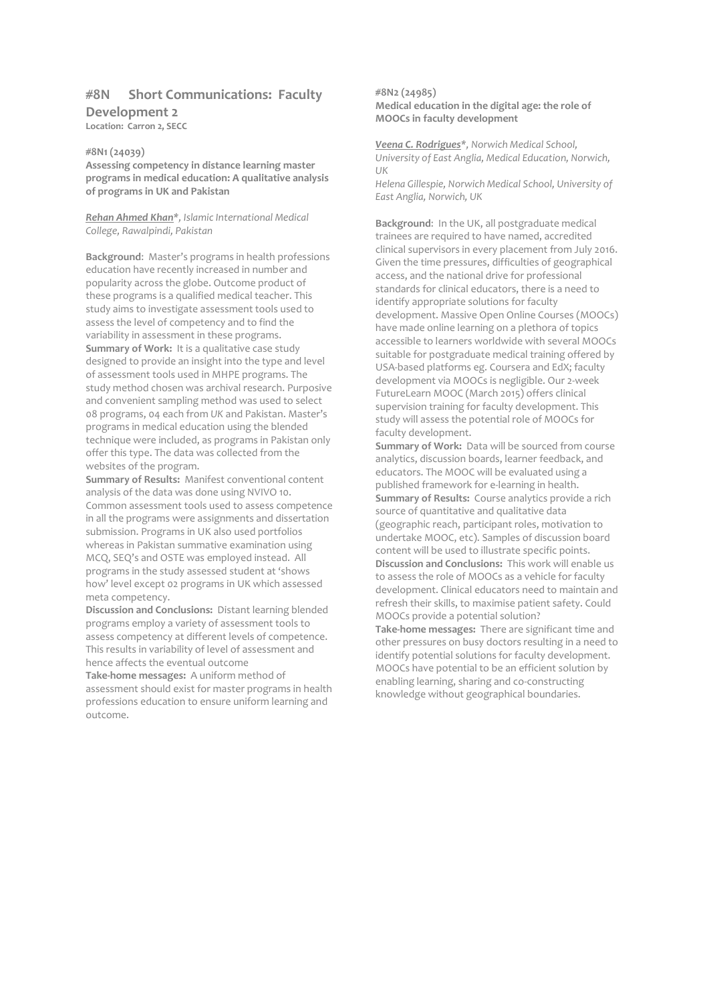# **#8N Short Communications: Faculty**

# **Development 2**

**Location: Carron 2, SECC**

# **#8N1 (24039)**

**Assessing competency in distance learning master programs in medical education: A qualitative analysis of programs in UK and Pakistan**

*Rehan Ahmed Khan\*, Islamic International Medical College, Rawalpindi, Pakistan*

**Background**: Master's programs in health professions education have recently increased in number and popularity across the globe. Outcome product of these programs is a qualified medical teacher. This study aims to investigate assessment tools used to assess the level of competency and to find the variability in assessment in these programs. **Summary of Work:** It is a qualitative case study designed to provide an insight into the type and level of assessment tools used in MHPE programs. The study method chosen was archival research. Purposive and convenient sampling method was used to select 08 programs, 04 each from *UK* and Pakistan. Master's programs in medical education using the blended technique were included, as programs in Pakistan only offer this type. The data was collected from the websites of the program.

**Summary of Results:** Manifest conventional content analysis of the data was done using NVIVO 10. Common assessment tools used to assess competence in all the programs were assignments and dissertation submission. Programs in UK also used portfolios whereas in Pakistan summative examination using MCQ, SEQ's and OSTE was employed instead. All programs in the study assessed student at 'shows how' level except 02 programs in UK which assessed meta competency.

**Discussion and Conclusions:** Distant learning blended programs employ a variety of assessment tools to assess competency at different levels of competence. This results in variability of level of assessment and hence affects the eventual outcome

**Take-home messages:** A uniform method of assessment should exist for master programs in health professions education to ensure uniform learning and outcome.

### **#8N2 (24985) Medical education in the digital age: the role of MOOCs in faculty development**

*Veena C. Rodrigues\*, Norwich Medical School, University of East Anglia, Medical Education, Norwich, UK*

*Helena Gillespie, Norwich Medical School, University of East Anglia, Norwich, UK*

**Background**: In the UK, all postgraduate medical trainees are required to have named, accredited clinical supervisors in every placement from July 2016. Given the time pressures, difficulties of geographical access, and the national drive for professional standards for clinical educators, there is a need to identify appropriate solutions for faculty development. Massive Open Online Courses (MOOCs) have made online learning on a plethora of topics accessible to learners worldwide with several MOOCs suitable for postgraduate medical training offered by USA-based platforms eg. Coursera and EdX; faculty development via MOOCs is negligible. Our 2-week FutureLearn MOOC (March 2015) offers clinical supervision training for faculty development. This study will assess the potential role of MOOCs for faculty development.

**Summary of Work:** Data will be sourced from course analytics, discussion boards, learner feedback, and educators. The MOOC will be evaluated using a published framework for e-learning in health. **Summary of Results:** Course analytics provide a rich source of quantitative and qualitative data (geographic reach, participant roles, motivation to undertake MOOC, etc). Samples of discussion board content will be used to illustrate specific points. **Discussion and Conclusions:** This work will enable us to assess the role of MOOCs as a vehicle for faculty development. Clinical educators need to maintain and refresh their skills, to maximise patient safety. Could MOOCs provide a potential solution?

**Take-home messages:** There are significant time and other pressures on busy doctors resulting in a need to identify potential solutions for faculty development. MOOCs have potential to be an efficient solution by enabling learning, sharing and co-constructing knowledge without geographical boundaries.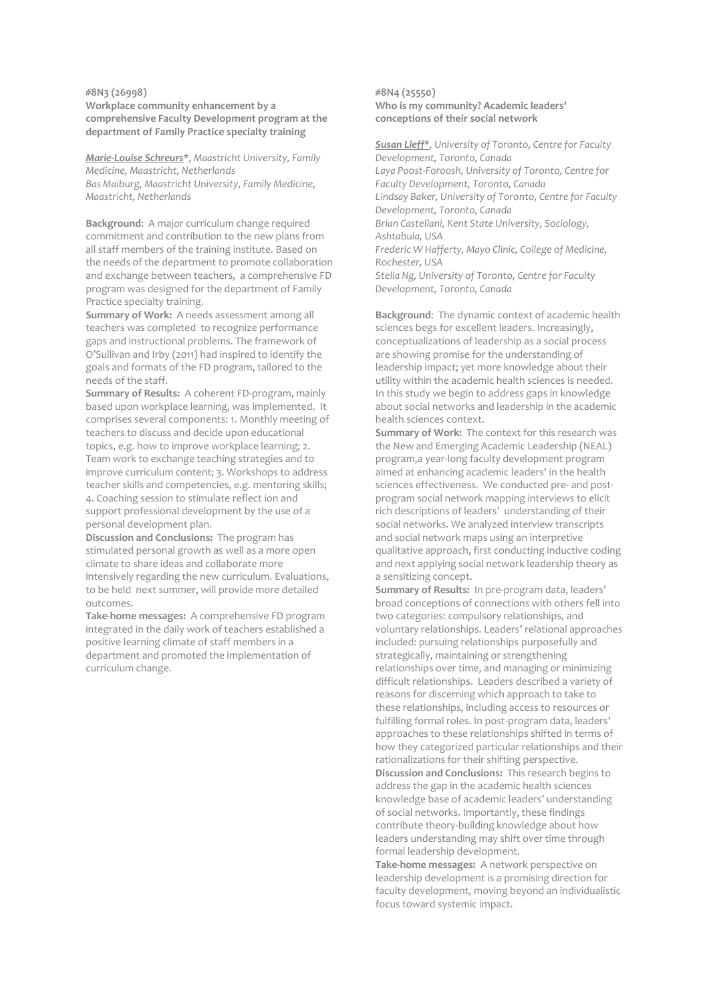#### **#8N3 (26998)**

**Workplace community enhancement by a comprehensive Faculty Development program at the department of Family Practice specialty training**

*Marie-Louise Schreurs\*, Maastricht University, Family Medicine, Maastricht, Netherlands Bas Maiburg, Maastricht University, Family Medicine, Maastricht, Netherlands*

**Background**: A major curriculum change required commitment and contribution to the new plans from all staff members of the training institute. Based on the needs of the department to promote collaboration and exchange between teachers, a comprehensive FD program was designed for the department of Family Practice specialty training.

**Summary of Work:** A needs assessment among all teachers was completed to recognize performance gaps and instructional problems. The framework of O'Sullivan and Irby (2011) had inspired to identify the goals and formats of the FD program, tailored to the needs of the staff.

**Summary of Results:** A coherent FD-program, mainly based upon workplace learning, was implemented. It comprises several components: 1. Monthly meeting of teachers to discuss and decide upon educational topics, e.g. how to improve workplace learning; 2. Team work to exchange teaching strategies and to improve curriculum content; 3. Workshops to address teacher skills and competencies, e.g. mentoring skills; 4. Coaching session to stimulate reflect ion and support professional development by the use of a personal development plan.

**Discussion and Conclusions:** The program has stimulated personal growth as well as a more open climate to share ideas and collaborate more intensively regarding the new curriculum. Evaluations, to be held next summer, will provide more detailed outcomes.

**Take-home messages:** A comprehensive FD program integrated in the daily work of teachers established a positive learning climate of staff members in a department and promoted the implementation of curriculum change.

### **#8N4 (25550) Who is my community? Academic leaders' conceptions of their social network**

*Susan Lieff\*, University of Toronto, Centre for Faculty Development, Toronto, Canada Laya Poost-Foroosh, University of Toronto, Centre for Faculty Development, Toronto, Canada Lindsay Baker, University of Toronto, Centre for Faculty Development, Toronto, Canada Brian Castellani, Kent State University, Sociology, Ashtabula, USA Frederic W Hafferty, Mayo Clinic, College of Medicine, Rochester, USA Stella Ng, University of Toronto, Centre for Faculty Development, Toronto, Canada*

**Background**: The dynamic context of academic health sciences begs for excellent leaders. Increasingly, conceptualizations of leadership as a social process are showing promise for the understanding of leadership impact; yet more knowledge about their utility within the academic health sciences is needed. In this study we begin to address gaps in knowledge about social networks and leadership in the academic health sciences context.

**Summary of Work:** The context for this research was the New and Emerging Academic Leadership (NEAL) program,a year-long faculty development program aimed at enhancing academic leaders' in the health sciences effectiveness. We conducted pre- and postprogram social network mapping interviews to elicit rich descriptions of leaders' understanding of their social networks. We analyzed interview transcripts and social network maps using an interpretive qualitative approach, first conducting inductive coding and next applying social network leadership theory as a sensitizing concept.

**Summary of Results:** In pre-program data, leaders' broad conceptions of connections with others fell into two categories: compulsory relationships, and voluntary relationships. Leaders' relational approaches included: pursuing relationships purposefully and strategically, maintaining or strengthening relationships over time, and managing or minimizing difficult relationships. Leaders described a variety of reasons for discerning which approach to take to these relationships, including access to resources or fulfilling formal roles. In post-program data, leaders' approaches to these relationships shifted in terms of how they categorized particular relationships and their rationalizations for their shifting perspective. **Discussion and Conclusions:** This research begins to address the gap in the academic health sciences knowledge base of academic leaders' understanding of social networks. Importantly, these findings contribute theory-building knowledge about how leaders understanding may shift over time through formal leadership development.

**Take-home messages:** A network perspective on leadership development is a promising direction for faculty development, moving beyond an individualistic focus toward systemic impact.